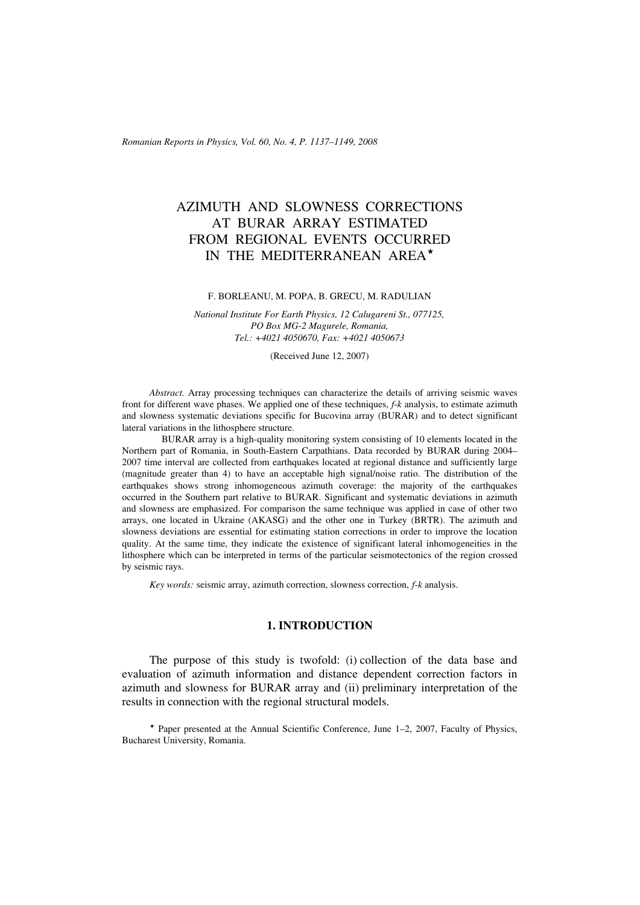*Romanian Reports in Physics, Vol. 60, No. 4, P. 1137–1149, 2008*

# AZIMUTH AND SLOWNESS CORRECTIONS AT BURAR ARRAY ESTIMATED FROM REGIONAL EVENTS OCCURRED IN THE MEDITERRANEAN AREA

#### F. BORLEANU, M. POPA, B. GRECU, M. RADULIAN

*National Institute For Earth Physics, 12 Calugareni St., 077125, PO Box MG-2 Magurele, Romania, Tel.: +4021 4050670, Fax: +4021 4050673*

(Received June 12, 2007)

*Abstract.* Array processing techniques can characterize the details of arriving seismic waves front for different wave phases. We applied one of these techniques, *f*-*k* analysis, to estimate azimuth and slowness systematic deviations specific for Bucovina array (BURAR) and to detect significant lateral variations in the lithosphere structure.

 BURAR array is a high-quality monitoring system consisting of 10 elements located in the Northern part of Romania, in South-Eastern Carpathians. Data recorded by BURAR during 2004– 2007 time interval are collected from earthquakes located at regional distance and sufficiently large (magnitude greater than 4) to have an acceptable high signal/noise ratio. The distribution of the earthquakes shows strong inhomogeneous azimuth coverage: the majority of the earthquakes occurred in the Southern part relative to BURAR. Significant and systematic deviations in azimuth and slowness are emphasized. For comparison the same technique was applied in case of other two arrays, one located in Ukraine (AKASG) and the other one in Turkey (BRTR). The azimuth and slowness deviations are essential for estimating station corrections in order to improve the location quality. At the same time, they indicate the existence of significant lateral inhomogeneities in the lithosphere which can be interpreted in terms of the particular seismotectonics of the region crossed by seismic rays.

*Key words:* seismic array, azimuth correction, slowness correction, *f*-*k* analysis.

### **1. INTRODUCTION**

The purpose of this study is twofold: (i) collection of the data base and evaluation of azimuth information and distance dependent correction factors in azimuth and slowness for BURAR array and (ii) preliminary interpretation of the results in connection with the regional structural models.

 $\star$  Paper presented at the Annual Scientific Conference, June 1–2, 2007, Faculty of Physics, Bucharest University, Romania.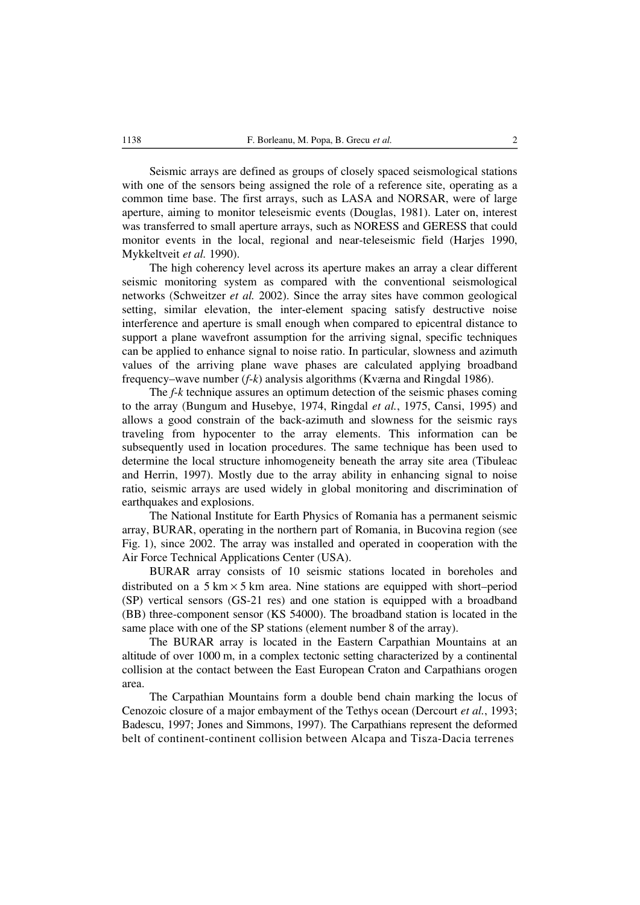Seismic arrays are defined as groups of closely spaced seismological stations with one of the sensors being assigned the role of a reference site, operating as a common time base. The first arrays, such as LASA and NORSAR, were of large aperture, aiming to monitor teleseismic events (Douglas, 1981). Later on, interest was transferred to small aperture arrays, such as NORESS and GERESS that could monitor events in the local, regional and near-teleseismic field (Harjes 1990, Mykkeltveit *et al.* 1990).

The high coherency level across its aperture makes an array a clear different seismic monitoring system as compared with the conventional seismological networks (Schweitzer *et al.* 2002). Since the array sites have common geological setting, similar elevation, the inter-element spacing satisfy destructive noise interference and aperture is small enough when compared to epicentral distance to support a plane wavefront assumption for the arriving signal, specific techniques can be applied to enhance signal to noise ratio. In particular, slowness and azimuth values of the arriving plane wave phases are calculated applying broadband frequency–wave number (*f*-*k*) analysis algorithms (Kværna and Ringdal 1986).

The *f*-*k* technique assures an optimum detection of the seismic phases coming to the array (Bungum and Husebye, 1974, Ringdal *et al.*, 1975, Cansi, 1995) and allows a good constrain of the back-azimuth and slowness for the seismic rays traveling from hypocenter to the array elements. This information can be subsequently used in location procedures. The same technique has been used to determine the local structure inhomogeneity beneath the array site area (Tibuleac and Herrin, 1997). Mostly due to the array ability in enhancing signal to noise ratio, seismic arrays are used widely in global monitoring and discrimination of earthquakes and explosions.

The National Institute for Earth Physics of Romania has a permanent seismic array, BURAR, operating in the northern part of Romania, in Bucovina region (see Fig*.* 1), since 2002. The array was installed and operated in cooperation with the Air Force Technical Applications Center (USA).

BURAR array consists of 10 seismic stations located in boreholes and distributed on a  $5 \text{ km} \times 5 \text{ km}$  area. Nine stations are equipped with short–period (SP) vertical sensors (GS-21 res) and one station is equipped with a broadband (BB) three-component sensor (KS 54000). The broadband station is located in the same place with one of the SP stations (element number 8 of the array).

The BURAR array is located in the Eastern Carpathian Mountains at an altitude of over 1000 m, in a complex tectonic setting characterized by a continental collision at the contact between the East European Craton and Carpathians orogen area.

The Carpathian Mountains form a double bend chain marking the locus of Cenozoic closure of a major embayment of the Tethys ocean (Dercourt *et al.*, 1993; Badescu, 1997; Jones and Simmons, 1997). The Carpathians represent the deformed belt of continent-continent collision between Alcapa and Tisza-Dacia terrenes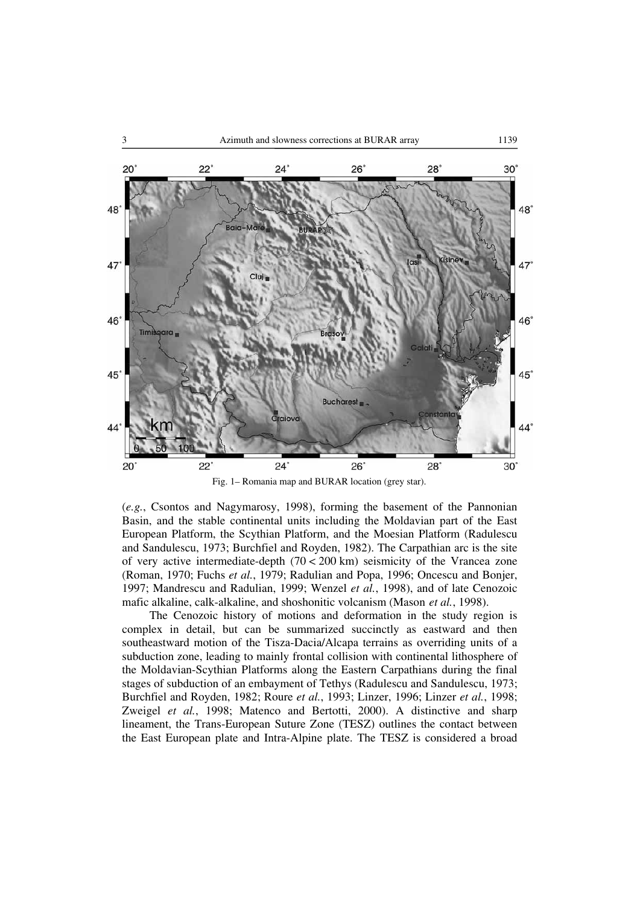

Fig. 1– Romania map and BURAR location (grey star).

(*e.g.*, Csontos and Nagymarosy, 1998), forming the basement of the Pannonian Basin, and the stable continental units including the Moldavian part of the East European Platform, the Scythian Platform, and the Moesian Platform (Radulescu and Sandulescu, 1973; Burchfiel and Royden, 1982). The Carpathian arc is the site of very active intermediate-depth  $(70 < 200 \text{ km})$  seismicity of the Vrancea zone (Roman, 1970; Fuchs *et al.*, 1979; Radulian and Popa, 1996; Oncescu and Bonjer, 1997; Mandrescu and Radulian, 1999; Wenzel *et al.*, 1998), and of late Cenozoic mafic alkaline, calk-alkaline, and shoshonitic volcanism (Mason *et al.*, 1998).

The Cenozoic history of motions and deformation in the study region is complex in detail, but can be summarized succinctly as eastward and then southeastward motion of the Tisza-Dacia/Alcapa terrains as overriding units of a subduction zone, leading to mainly frontal collision with continental lithosphere of the Moldavian-Scythian Platforms along the Eastern Carpathians during the final stages of subduction of an embayment of Tethys (Radulescu and Sandulescu, 1973; Burchfiel and Royden, 1982; Roure *et al.*, 1993; Linzer, 1996; Linzer *et al.*, 1998; Zweigel et al., 1998; Matenco and Bertotti, 2000). A distinctive and sharp lineament, the Trans-European Suture Zone (TESZ) outlines the contact between the East European plate and Intra-Alpine plate. The TESZ is considered a broad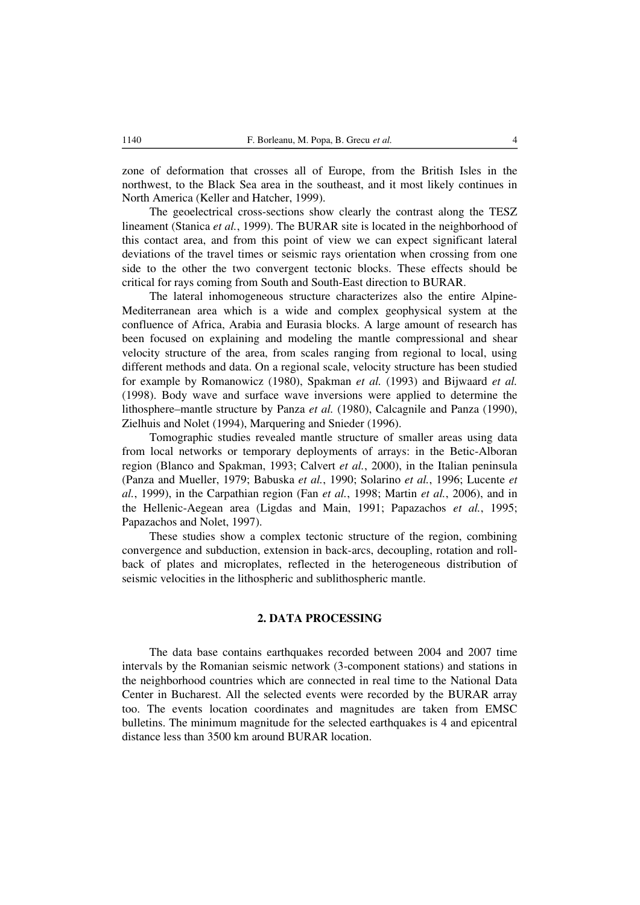zone of deformation that crosses all of Europe, from the British Isles in the northwest, to the Black Sea area in the southeast, and it most likely continues in North America (Keller and Hatcher, 1999).

The geoelectrical cross-sections show clearly the contrast along the TESZ lineament (Stanica *et al.*, 1999). The BURAR site is located in the neighborhood of this contact area, and from this point of view we can expect significant lateral deviations of the travel times or seismic rays orientation when crossing from one side to the other the two convergent tectonic blocks. These effects should be critical for rays coming from South and South-East direction to BURAR.

The lateral inhomogeneous structure characterizes also the entire Alpine-Mediterranean area which is a wide and complex geophysical system at the confluence of Africa, Arabia and Eurasia blocks. A large amount of research has been focused on explaining and modeling the mantle compressional and shear velocity structure of the area, from scales ranging from regional to local, using different methods and data. On a regional scale, velocity structure has been studied for example by Romanowicz (1980), Spakman *et al.* (1993) and Bijwaard *et al.* (1998). Body wave and surface wave inversions were applied to determine the lithosphere–mantle structure by Panza *et al.* (1980), Calcagnile and Panza (1990), Zielhuis and Nolet (1994), Marquering and Snieder (1996).

Tomographic studies revealed mantle structure of smaller areas using data from local networks or temporary deployments of arrays: in the Betic-Alboran region (Blanco and Spakman, 1993; Calvert *et al.*, 2000), in the Italian peninsula (Panza and Mueller, 1979; Babuska *et al.*, 1990; Solarino *et al.*, 1996; Lucente *et al.*, 1999), in the Carpathian region (Fan *et al.*, 1998; Martin *et al.*, 2006), and in the Hellenic-Aegean area (Ligdas and Main, 1991; Papazachos *et al.*, 1995; Papazachos and Nolet, 1997).

These studies show a complex tectonic structure of the region, combining convergence and subduction, extension in back-arcs, decoupling, rotation and rollback of plates and microplates, reflected in the heterogeneous distribution of seismic velocities in the lithospheric and sublithospheric mantle.

# **2. DATA PROCESSING**

The data base contains earthquakes recorded between 2004 and 2007 time intervals by the Romanian seismic network (3-component stations) and stations in the neighborhood countries which are connected in real time to the National Data Center in Bucharest. All the selected events were recorded by the BURAR array too. The events location coordinates and magnitudes are taken from EMSC bulletins. The minimum magnitude for the selected earthquakes is 4 and epicentral distance less than 3500 km around BURAR location.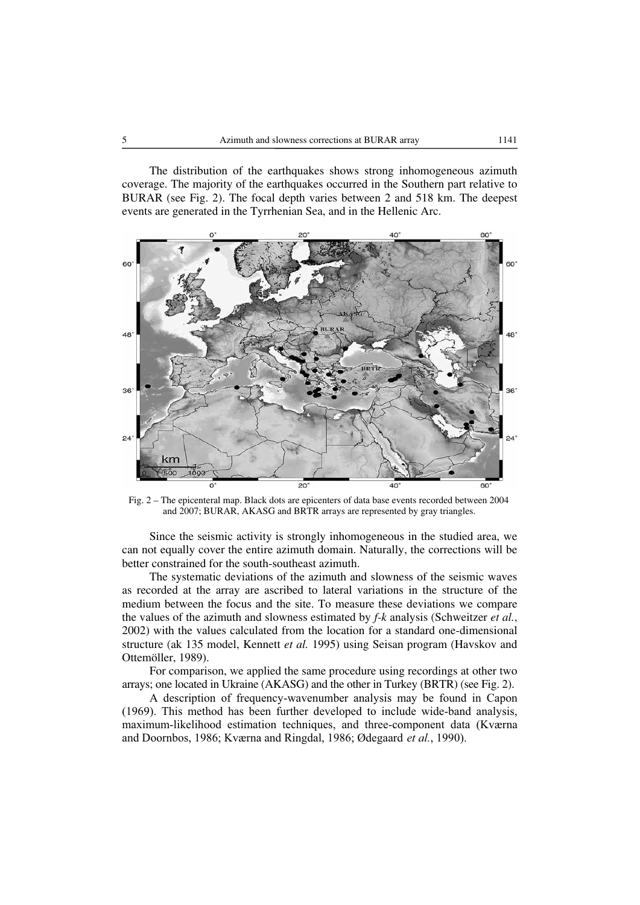The distribution of the earthquakes shows strong inhomogeneous azimuth coverage. The majority of the earthquakes occurred in the Southern part relative to BURAR (see Fig. 2). The focal depth varies between 2 and 518 km. The deepest events are generated in the Tyrrhenian Sea, and in the Hellenic Arc.



Fig. 2 – The epicenteral map. Black dots are epicenters of data base events recorded between 2004 and 2007; BURAR, AKASG and BRTR arrays are represented by gray triangles.

Since the seismic activity is strongly inhomogeneous in the studied area, we can not equally cover the entire azimuth domain. Naturally, the corrections will be better constrained for the south-southeast azimuth.

The systematic deviations of the azimuth and slowness of the seismic waves as recorded at the array are ascribed to lateral variations in the structure of the medium between the focus and the site. To measure these deviations we compare the values of the azimuth and slowness estimated by *f-k* analysis (Schweitzer *et al.*, 2002) with the values calculated from the location for a standard one-dimensional structure (ak 135 model, Kennett *et al.* 1995) using Seisan program (Havskov and Ottemöller, 1989).

For comparison, we applied the same procedure using recordings at other two arrays; one located in Ukraine (AKASG) and the other in Turkey (BRTR) (see Fig. 2).

A description of frequency-wavenumber analysis may be found in Capon (1969). This method has been further developed to include wide-band analysis, maximum-likelihood estimation techniques, and three-component data (Kværna and Doornbos, 1986; Kværna and Ringdal, 1986; Ødegaard *et al.*, 1990).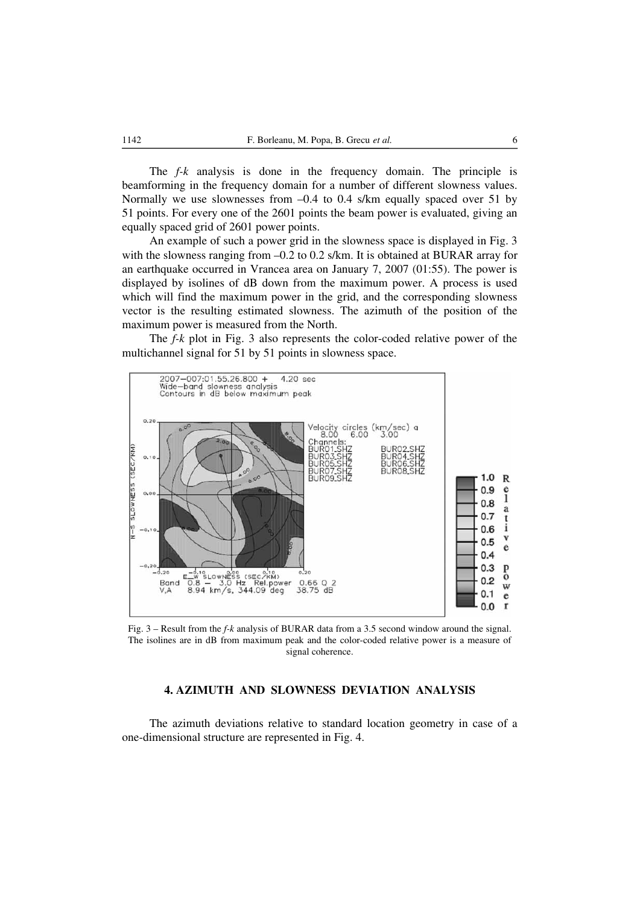The *f-k* analysis is done in the frequency domain. The principle is beamforming in the frequency domain for a number of different slowness values. Normally we use slownesses from  $-0.4$  to 0.4 s/km equally spaced over 51 by 51 points. For every one of the 2601 points the beam power is evaluated, giving an equally spaced grid of 2601 power points.

An example of such a power grid in the slowness space is displayed in Fig. 3 with the slowness ranging from  $-0.2$  to 0.2 s/km. It is obtained at BURAR array for an earthquake occurred in Vrancea area on January 7, 2007 (01:55). The power is displayed by isolines of dB down from the maximum power. A process is used which will find the maximum power in the grid, and the corresponding slowness vector is the resulting estimated slowness. The azimuth of the position of the maximum power is measured from the North.

The *f-k* plot in Fig. 3 also represents the color-coded relative power of the multichannel signal for 51 by 51 points in slowness space.



Fig. 3 – Result from the *f-k* analysis of BURAR data from a 3.5 second window around the signal. The isolines are in dB from maximum peak and the color-coded relative power is a measure of signal coherence.

## **4. AZIMUTH AND SLOWNESS DEVIATION ANALYSIS**

The azimuth deviations relative to standard location geometry in case of a one-dimensional structure are represented in Fig. 4.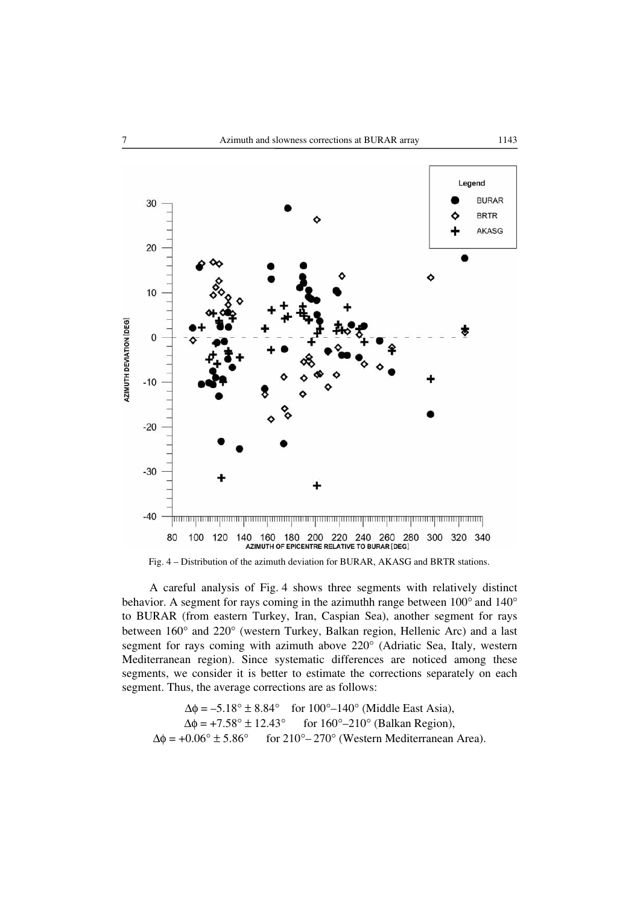



A careful analysis of Fig. 4 shows three segments with relatively distinct behavior. A segment for rays coming in the azimuthh range between 100° and 140° to BURAR (from eastern Turkey, Iran, Caspian Sea), another segment for rays between 160° and 220° (western Turkey, Balkan region, Hellenic Arc) and a last segment for rays coming with azimuth above 220° (Adriatic Sea, Italy, western Mediterranean region). Since systematic differences are noticed among these segments, we consider it is better to estimate the corrections separately on each segment. Thus, the average corrections are as follows:

$$
\Delta \phi = -5.18^{\circ} \pm 8.84^{\circ} \quad \text{for } 100^{\circ} - 140^{\circ} \text{ (Middle East Asia)},
$$
\n
$$
\Delta \phi = +7.58^{\circ} \pm 12.43^{\circ} \quad \text{for } 160^{\circ} - 210^{\circ} \text{ (Balkan Region)},
$$
\n
$$
\Delta \phi = +0.06^{\circ} \pm 5.86^{\circ} \quad \text{for } 210^{\circ} - 270^{\circ} \text{ (Western Mediterranean Area)}.
$$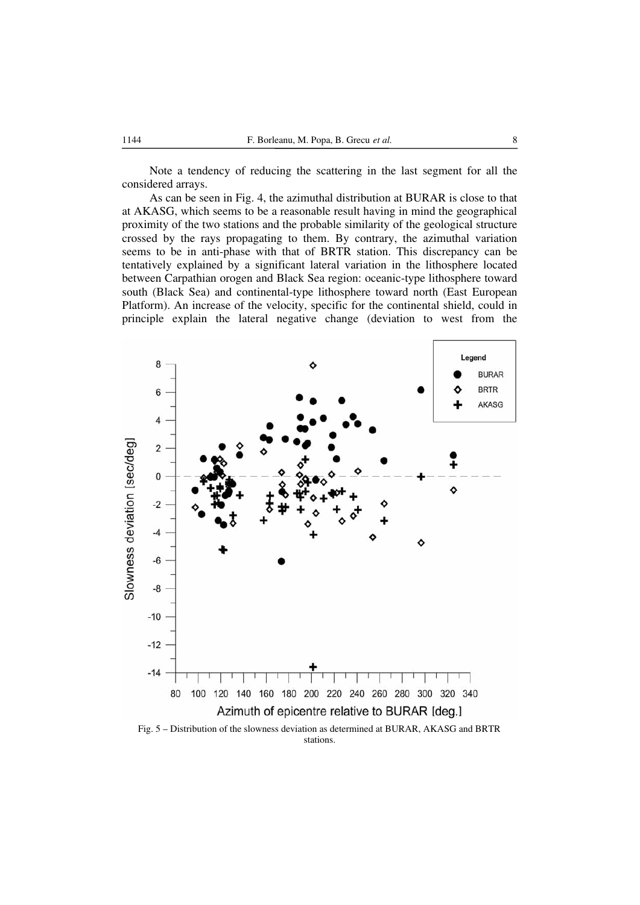Note a tendency of reducing the scattering in the last segment for all the considered arrays.

As can be seen in Fig. 4, the azimuthal distribution at BURAR is close to that at AKASG, which seems to be a reasonable result having in mind the geographical proximity of the two stations and the probable similarity of the geological structure crossed by the rays propagating to them. By contrary, the azimuthal variation seems to be in anti-phase with that of BRTR station. This discrepancy can be tentatively explained by a significant lateral variation in the lithosphere located between Carpathian orogen and Black Sea region: oceanic-type lithosphere toward south (Black Sea) and continental-type lithosphere toward north (East European Platform). An increase of the velocity, specific for the continental shield, could in principle explain the lateral negative change (deviation to west from the



stations.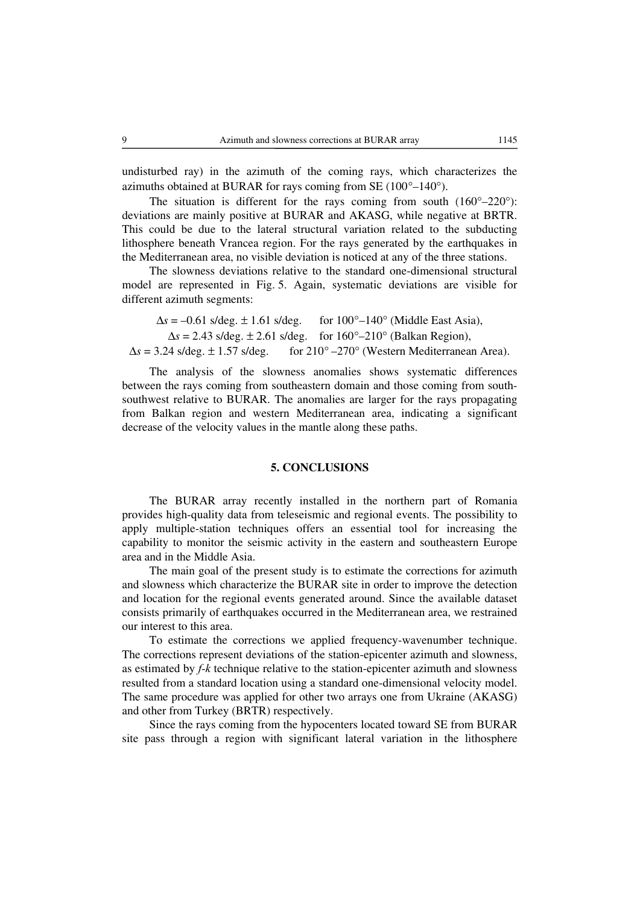undisturbed ray) in the azimuth of the coming rays, which characterizes the azimuths obtained at BURAR for rays coming from SE (100°–140°).

The situation is different for the rays coming from south  $(160^{\circ} - 220^{\circ})$ : deviations are mainly positive at BURAR and AKASG, while negative at BRTR. This could be due to the lateral structural variation related to the subducting lithosphere beneath Vrancea region. For the rays generated by the earthquakes in the Mediterranean area, no visible deviation is noticed at any of the three stations.

The slowness deviations relative to the standard one-dimensional structural model are represented in Fig. 5. Again, systematic deviations are visible for different azimuth segments:

 $\Delta s = -0.61$  s/deg.  $\pm 1.61$  s/deg. for  $100^\circ - 140^\circ$  (Middle East Asia),  $\Delta s = 2.43$  s/deg.  $\pm 2.61$  s/deg. for  $160^{\circ} - 210^{\circ}$  (Balkan Region),  $\Delta s = 3.24$  s/deg.  $\pm 1.57$  s/deg. for  $210^{\circ} - 270^{\circ}$  (Western Mediterranean Area).

The analysis of the slowness anomalies shows systematic differences between the rays coming from southeastern domain and those coming from southsouthwest relative to BURAR. The anomalies are larger for the rays propagating from Balkan region and western Mediterranean area, indicating a significant decrease of the velocity values in the mantle along these paths.

### **5. CONCLUSIONS**

The BURAR array recently installed in the northern part of Romania provides high-quality data from teleseismic and regional events. The possibility to apply multiple-station techniques offers an essential tool for increasing the capability to monitor the seismic activity in the eastern and southeastern Europe area and in the Middle Asia.

The main goal of the present study is to estimate the corrections for azimuth and slowness which characterize the BURAR site in order to improve the detection and location for the regional events generated around. Since the available dataset consists primarily of earthquakes occurred in the Mediterranean area, we restrained our interest to this area.

To estimate the corrections we applied frequency-wavenumber technique. The corrections represent deviations of the station-epicenter azimuth and slowness, as estimated by *f-k* technique relative to the station-epicenter azimuth and slowness resulted from a standard location using a standard one-dimensional velocity model. The same procedure was applied for other two arrays one from Ukraine (AKASG) and other from Turkey (BRTR) respectively.

Since the rays coming from the hypocenters located toward SE from BURAR site pass through a region with significant lateral variation in the lithosphere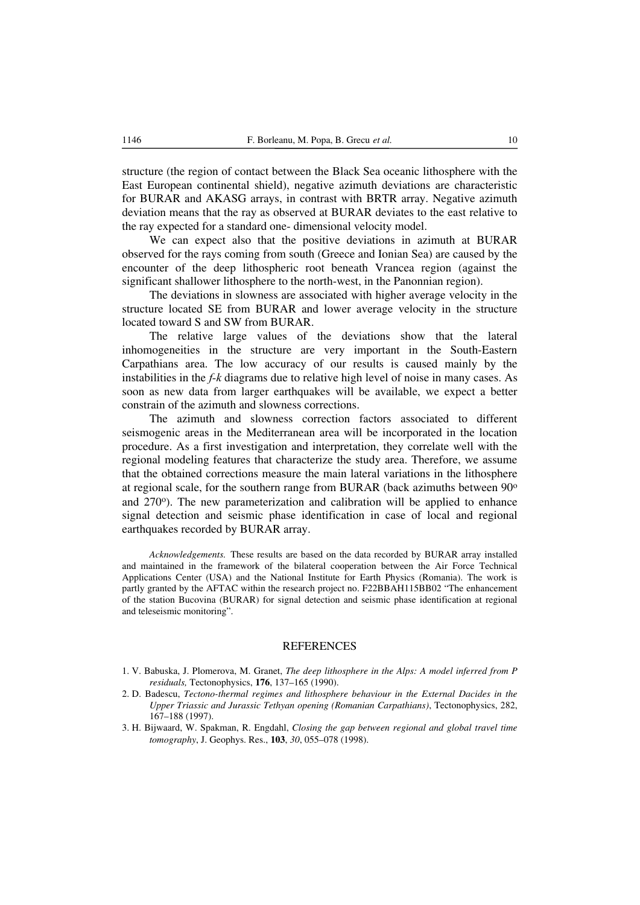structure (the region of contact between the Black Sea oceanic lithosphere with the East European continental shield), negative azimuth deviations are characteristic for BURAR and AKASG arrays, in contrast with BRTR array. Negative azimuth deviation means that the ray as observed at BURAR deviates to the east relative to the ray expected for a standard one- dimensional velocity model.

We can expect also that the positive deviations in azimuth at BURAR observed for the rays coming from south (Greece and Ionian Sea) are caused by the encounter of the deep lithospheric root beneath Vrancea region (against the significant shallower lithosphere to the north-west, in the Panonnian region).

The deviations in slowness are associated with higher average velocity in the structure located SE from BURAR and lower average velocity in the structure located toward S and SW from BURAR.

The relative large values of the deviations show that the lateral inhomogeneities in the structure are very important in the South-Eastern Carpathians area. The low accuracy of our results is caused mainly by the instabilities in the *f-k* diagrams due to relative high level of noise in many cases. As soon as new data from larger earthquakes will be available, we expect a better constrain of the azimuth and slowness corrections.

The azimuth and slowness correction factors associated to different seismogenic areas in the Mediterranean area will be incorporated in the location procedure. As a first investigation and interpretation, they correlate well with the regional modeling features that characterize the study area. Therefore, we assume that the obtained corrections measure the main lateral variations in the lithosphere at regional scale, for the southern range from BURAR (back azimuths between 90o and  $270^{\circ}$ ). The new parameterization and calibration will be applied to enhance signal detection and seismic phase identification in case of local and regional earthquakes recorded by BURAR array.

*Acknowledgements.* These results are based on the data recorded by BURAR array installed and maintained in the framework of the bilateral cooperation between the Air Force Technical Applications Center (USA) and the National Institute for Earth Physics (Romania). The work is partly granted by the AFTAC within the research project no. F22BBAH115BB02 "The enhancement of the station Bucovina (BURAR) for signal detection and seismic phase identification at regional and teleseismic monitoring".

#### **REFERENCES**

- 1. V. Babuska, J. Plomerova, M. Granet, *The deep lithosphere in the Alps: A model inferred from P residuals,* Tectonophysics, **176**, 137–165 (1990).
- 2. D. Badescu, *Tectono-thermal regimes and lithosphere behaviour in the External Dacides in the Upper Triassic and Jurassic Tethyan opening (Romanian Carpathians)*, Tectonophysics, 282, 167–188 (1997).
- 3. H. Bijwaard, W. Spakman, R. Engdahl, *Closing the gap between regional and global travel time tomography*, J. Geophys. Res., **103**, *30*, 055–078 (1998).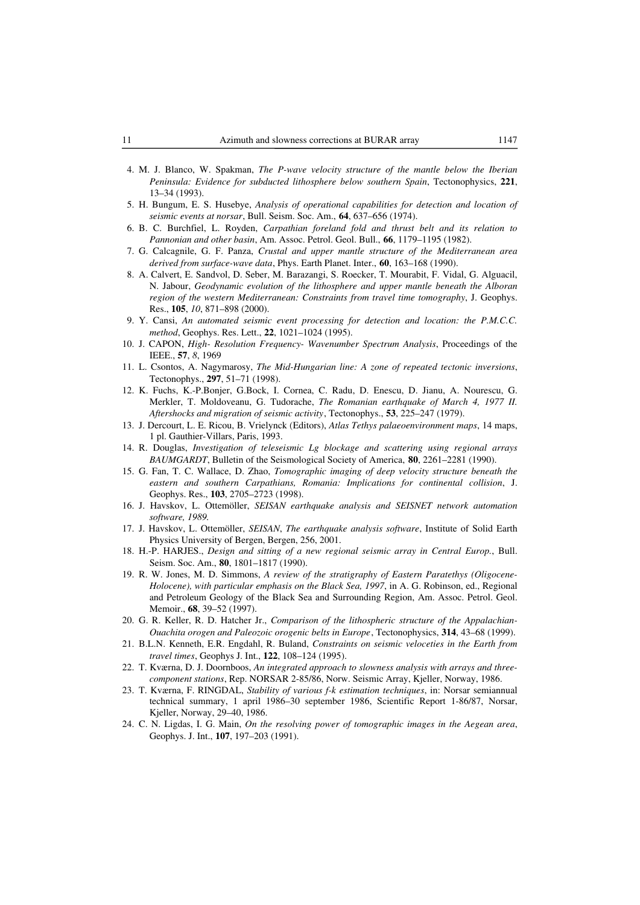- 4. M. J. Blanco, W. Spakman, *The P-wave velocity structure of the mantle below the Iberian Peninsula: Evidence for subducted lithosphere below southern Spain*, Tectonophysics, **221**, 13–34 (1993).
- 5. H. Bungum, E. S. Husebye, *Analysis of operational capabilities for detection and location of seismic events at norsar*, Bull. Seism. Soc. Am., **64**, 637–656 (1974).
- 6. B. C. Burchfiel, L. Royden, *Carpathian foreland fold and thrust belt and its relation to Pannonian and other basin*, Am. Assoc. Petrol. Geol. Bull., **66**, 1179–1195 (1982).
- 7. G. Calcagnile, G. F. Panza, *Crustal and upper mantle structure of the Mediterranean area derived from surface-wave data*, Phys. Earth Planet. Inter., **60**, 163–168 (1990).
- 8. A. Calvert, E. Sandvol, D. Seber, M. Barazangi, S. Roecker, T. Mourabit, F. Vidal, G. Alguacil, N. Jabour, *Geodynamic evolution of the lithosphere and upper mantle beneath the Alboran region of the western Mediterranean: Constraints from travel time tomography*, J. Geophys. Res., **105**, *10*, 871–898 (2000).
- 9. Y. Cansi, *An automated seismic event processing for detection and location: the P.M.C.C. method*, Geophys. Res. Lett., **22**, 1021–1024 (1995).
- 10. J. CAPON, *High- Resolution Frequency- Wavenumber Spectrum Analysis*, Proceedings of the IEEE., **57**, *8*, 1969
- 11. L. Csontos, A. Nagymarosy, *The Mid-Hungarian line: A zone of repeated tectonic inversions*, Tectonophys., **297**, 51–71 (1998).
- 12. K. Fuchs, K.-P.Bonjer, G.Bock, I. Cornea, C. Radu, D. Enescu, D. Jianu, A. Nourescu, G. Merkler, T. Moldoveanu, G. Tudorache, *The Romanian earthquake of March 4, 1977 II. Aftershocks and migration of seismic activity*, Tectonophys., **53**, 225–247 (1979).
- 13. J. Dercourt, L. E. Ricou, B. Vrielynck (Editors), *Atlas Tethys palaeoenvironment maps*, 14 maps, 1 pl. Gauthier-Villars, Paris, 1993.
- 14. R. Douglas, *Investigation of teleseismic Lg blockage and scattering using regional arrays BAUMGARDT*, Bulletin of the Seismological Society of America, **80**, 2261–2281 (1990).
- 15. G. Fan, T. C. Wallace, D. Zhao, *Tomographic imaging of deep velocity structure beneath the eastern and southern Carpathians, Romania: Implications for continental collision*, J. Geophys. Res., **103**, 2705–2723 (1998).
- 16. J. Havskov, L. Ottemöller, *SEISAN earthquake analysis and SEISNET network automation software, 1989.*
- 17. J. Havskov, L. Ottemöller, *SEISAN*, *The earthquake analysis software*, Institute of Solid Earth Physics University of Bergen, Bergen, 256, 2001.
- 18. H.-P. HARJES., *Design and sitting of a new regional seismic array in Central Europ.*, Bull. Seism. Soc. Am., **80**, 1801–1817 (1990).
- 19. R. W. Jones, M. D. Simmons, *A review of the stratigraphy of Eastern Paratethys (Oligocene-Holocene), with particular emphasis on the Black Sea, 1997*, in A. G. Robinson, ed., Regional and Petroleum Geology of the Black Sea and Surrounding Region, Am. Assoc. Petrol. Geol. Memoir., **68**, 39–52 (1997).
- 20. G. R. Keller, R. D. Hatcher Jr., *Comparison of the lithospheric structure of the Appalachian-Ouachita orogen and Paleozoic orogenic belts in Europe*, Tectonophysics, **314**, 43–68 (1999).
- 21. B.L.N. Kenneth, E.R. Engdahl, R. Buland, *Constraints on seismic veloceties in the Earth from travel times*, Geophys J. Int., **122**, 108–124 (1995).
- 22. T. Kværna, D. J. Doornboos, *An integrated approach to slowness analysis with arrays and threecomponent stations*, Rep. NORSAR 2-85/86, Norw. Seismic Array, Kjeller, Norway, 1986.
- 23. T. Kværna, F. RINGDAL, *Stability of various f-k estimation techniques*, in: Norsar semiannual technical summary, 1 april 1986–30 september 1986, Scientific Report 1-86/87, Norsar, Kjeller, Norway, 29–40, 1986.
- 24. C. N. Ligdas, I. G. Main, *On the resolving power of tomographic images in the Aegean area*, Geophys. J. Int., **107**, 197–203 (1991).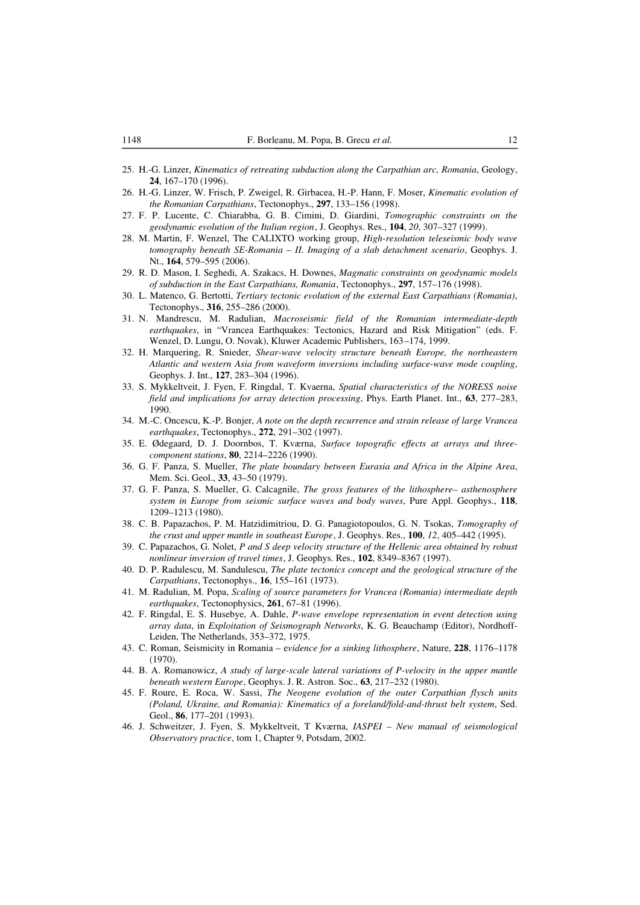- 25. H.-G. Linzer, *Kinematics of retreating subduction along the Carpathian arc, Romania*, Geology, **24**, 167–170 (1996).
- 26. H.-G. Linzer, W. Frisch, P. Zweigel, R. Girbacea, H.-P. Hann, F. Moser, *Kinematic evolution of the Romanian Carpathians*, Tectonophys., **297**, 133–156 (1998).
- 27. F. P. Lucente, C. Chiarabba, G. B. Cimini, D. Giardini, *Tomographic constraints on the geodynamic evolution of the Italian region*, J. Geophys. Res., **104**, *20*, 307–327 (1999).
- 28. M. Martin, F. Wenzel, The CALIXTO working group, *High-resolution teleseismic body wave tomography beneath SE-Romania – II. Imaging of a slab detachment scenario*, Geophys. J. Nt., **164**, 579–595 (2006).
- 29. R. D. Mason, I. Seghedi, A. Szakacs, H. Downes, *Magmatic constraints on geodynamic models of subduction in the East Carpathians, Romania*, Tectonophys., **297**, 157–176 (1998).
- 30. L. Matenco, G. Bertotti, *Tertiary tectonic evolution of the external East Carpathians (Romania)*, Tectonophys., **316**, 255–286 (2000).
- 31. N. Mandrescu, M. Radulian, *Macroseismic field of the Romanian intermediate-depth earthquakes*, in "Vrancea Earthquakes: Tectonics, Hazard and Risk Mitigation" (eds. F. Wenzel, D. Lungu, O. Novak), Kluwer Academic Publishers, 163–174, 1999.
- 32. H. Marquering, R. Snieder, *Shear-wave velocity structure beneath Europe, the northeastern Atlantic and western Asia from waveform inversions including surface-wave mode coupling*, Geophys. J. Int., **127**, 283–304 (1996).
- 33. S. Mykkeltveit, J. Fyen, F. Ringdal, T. Kvaerna, *Spatial characteristics of the NORESS noise field and implications for array detection processing*, Phys. Earth Planet. Int., **63**, 277–283, 1990.
- 34. M.-C. Oncescu, K.-P. Bonjer, *A note on the depth recurrence and strain release of large Vrancea earthquakes*, Tectonophys., **272**, 291–302 (1997).
- 35. E. Ødegaard, D. J. Doornbos, T. Kværna, *Surface topografic effects at arrays and threecomponent stations*, **80**, 2214–2226 (1990).
- 36. G. F. Panza, S. Mueller, *The plate boundary between Eurasia and Africa in the Alpine Area*, Mem. Sci. Geol., **33**, 43–50 (1979).
- 37. G. F. Panza, S. Mueller, G. Calcagnile, *The gross features of the lithosphere– asthenosphere system in Europe from seismic surface waves and body waves*, Pure Appl. Geophys., **118**, 1209–1213 (1980).
- 38. C. B. Papazachos, P. M. Hatzidimitriou, D. G. Panagiotopoulos, G. N. Tsokas, *Tomography of the crust and upper mantle in southeast Europe*, J. Geophys. Res., **100**, *12*, 405–442 (1995).
- 39. C. Papazachos, G. Nolet, *P and S deep velocity structure of the Hellenic area obtained by robust nonlinear inversion of travel times*, J. Geophys. Res., **102**, 8349–8367 (1997).
- 40. D. P. Radulescu, M. Sandulescu, *The plate tectonics concept and the geological structure of the Carpathians*, Tectonophys., **16**, 155–161 (1973).
- 41. M. Radulian, M. Popa, *Scaling of source parameters for Vrancea (Romania) intermediate depth earthquakes*, Tectonophysics, **261**, 67–81 (1996).
- 42. F. Ringdal, E. S. Husebye, A. Dahle, *P-wave envelope representation in event detection using array data*, in *Exploitation of Seismograph Networks*, K. G. Beauchamp (Editor), Nordhoff-Leiden, The Netherlands, 353–372, 1975.
- 43. C. Roman, Seismicity in Romania e*vidence for a sinking lithosphere*, Nature, **228**, 1176–1178 (1970).
- 44. B. A. Romanowicz, *A study of large-scale lateral variations of P-velocity in the upper mantle beneath western Europe*, Geophys. J. R. Astron. Soc., **63**, 217–232 (1980).
- 45. F. Roure, E. Roca, W. Sassi, *The Neogene evolution of the outer Carpathian flysch units (Poland, Ukraine, and Romania): Kinematics of a foreland/fold-and-thrust belt system*, Sed. Geol., **86**, 177–201 (1993).
- 46. J. Schweitzer, J. Fyen, S. Mykkeltveit, T Kværna, *IASPEI New manual of seismological Observatory practice*, tom 1, Chapter 9, Potsdam, 2002.